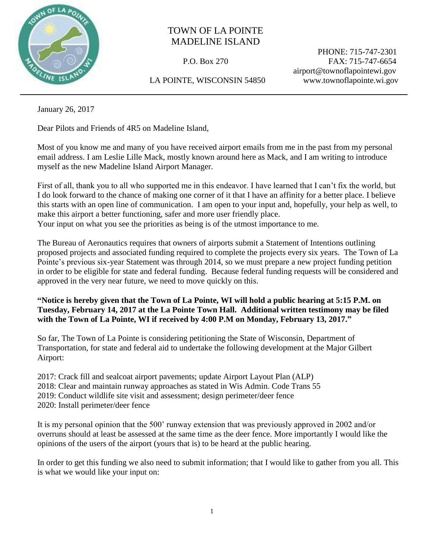

## TOWN OF LA POINTE MADELINE ISLAND

 PHONE: 715-747-2301 P.O. Box 270 FAX: 715-747-6654 airport@townoflapointewi.gov

LA POINTE, WISCONSIN 54850 www.townoflapointe.wi.gov

January 26, 2017

Dear Pilots and Friends of 4R5 on Madeline Island,

Most of you know me and many of you have received airport emails from me in the past from my personal email address. I am Leslie Lille Mack, mostly known around here as Mack, and I am writing to introduce myself as the new Madeline Island Airport Manager.

First of all, thank you to all who supported me in this endeavor. I have learned that I can't fix the world, but I do look forward to the chance of making one corner of it that I have an affinity for a better place. I believe this starts with an open line of communication. I am open to your input and, hopefully, your help as well, to make this airport a better functioning, safer and more user friendly place.

Your input on what you see the priorities as being is of the utmost importance to me.

The Bureau of Aeronautics requires that owners of airports submit a Statement of Intentions outlining proposed projects and associated funding required to complete the projects every six years. The Town of La Pointe's previous six-year Statement was through 2014, so we must prepare a new project funding petition in order to be eligible for state and federal funding. Because federal funding requests will be considered and approved in the very near future, we need to move quickly on this.

**"Notice is hereby given that the Town of La Pointe, WI will hold a public hearing at 5:15 P.M. on Tuesday, February 14, 2017 at the La Pointe Town Hall. Additional written testimony may be filed with the Town of La Pointe, WI if received by 4:00 P.M on Monday, February 13, 2017."**

So far, The Town of La Pointe is considering petitioning the State of Wisconsin, Department of Transportation, for state and federal aid to undertake the following development at the Major Gilbert Airport:

2017: Crack fill and sealcoat airport pavements; update Airport Layout Plan (ALP) 2018: Clear and maintain runway approaches as stated in Wis Admin. Code Trans 55 2019: Conduct wildlife site visit and assessment; design perimeter/deer fence 2020: Install perimeter/deer fence

It is my personal opinion that the 500' runway extension that was previously approved in 2002 and/or overruns should at least be assessed at the same time as the deer fence. More importantly I would like the opinions of the users of the airport (yours that is) to be heard at the public hearing.

In order to get this funding we also need to submit information; that I would like to gather from you all. This is what we would like your input on: